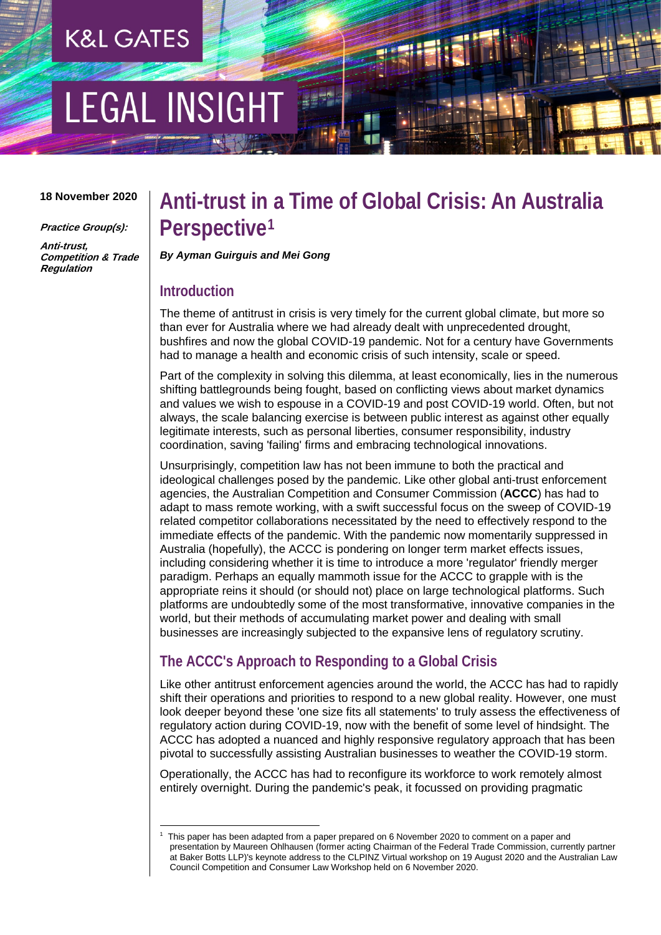## **K&L GATES**

# **LEGAL INSIGHT**

#### **18 November 2020**

**Practice Group(s):**

**Anti-trust, Competition & Trade Regulation** 

### **Anti-trust in a Time of Global Crisis: An Australia Perspective[1](#page-0-0)**

*By Ayman Guirguis and Mei Gong* 

#### **Introduction**

<u>.</u>

The theme of antitrust in crisis is very timely for the current global climate, but more so than ever for Australia where we had already dealt with unprecedented drought, bushfires and now the global COVID-19 pandemic. Not for a century have Governments had to manage a health and economic crisis of such intensity, scale or speed.

Part of the complexity in solving this dilemma, at least economically, lies in the numerous shifting battlegrounds being fought, based on conflicting views about market dynamics and values we wish to espouse in a COVID-19 and post COVID-19 world. Often, but not always, the scale balancing exercise is between public interest as against other equally legitimate interests, such as personal liberties, consumer responsibility, industry coordination, saving 'failing' firms and embracing technological innovations.

Unsurprisingly, competition law has not been immune to both the practical and ideological challenges posed by the pandemic. Like other global anti-trust enforcement agencies, the Australian Competition and Consumer Commission (**ACCC**) has had to adapt to mass remote working, with a swift successful focus on the sweep of COVID-19 related competitor collaborations necessitated by the need to effectively respond to the immediate effects of the pandemic. With the pandemic now momentarily suppressed in Australia (hopefully), the ACCC is pondering on longer term market effects issues, including considering whether it is time to introduce a more 'regulator' friendly merger paradigm. Perhaps an equally mammoth issue for the ACCC to grapple with is the appropriate reins it should (or should not) place on large technological platforms. Such platforms are undoubtedly some of the most transformative, innovative companies in the world, but their methods of accumulating market power and dealing with small businesses are increasingly subjected to the expansive lens of regulatory scrutiny.

#### **The ACCC's Approach to Responding to a Global Crisis**

Like other antitrust enforcement agencies around the world, the ACCC has had to rapidly shift their operations and priorities to respond to a new global reality. However, one must look deeper beyond these 'one size fits all statements' to truly assess the effectiveness of regulatory action during COVID-19, now with the benefit of some level of hindsight. The ACCC has adopted a nuanced and highly responsive regulatory approach that has been pivotal to successfully assisting Australian businesses to weather the COVID-19 storm.

Operationally, the ACCC has had to reconfigure its workforce to work remotely almost entirely overnight. During the pandemic's peak, it focussed on providing pragmatic

<span id="page-0-0"></span><sup>1</sup> This paper has been adapted from a paper prepared on 6 November 2020 to comment on a paper and presentation by Maureen Ohlhausen (former acting Chairman of the Federal Trade Commission, currently partner at Baker Botts LLP)'s keynote address to the CLPINZ Virtual workshop on 19 August 2020 and the Australian Law Council Competition and Consumer Law Workshop held on 6 November 2020.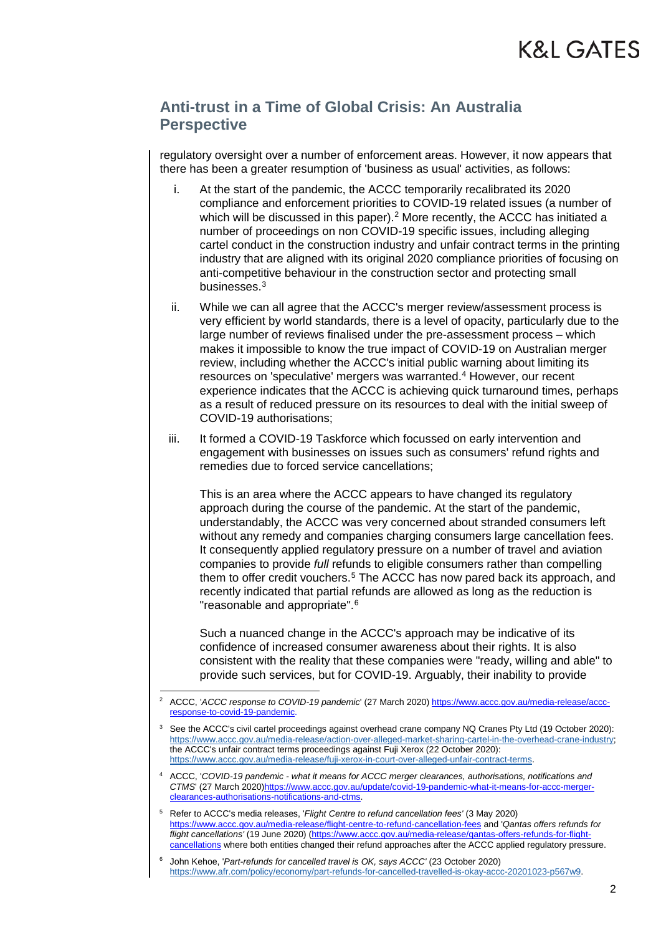regulatory oversight over a number of enforcement areas. However, it now appears that there has been a greater resumption of 'business as usual' activities, as follows:

- i. At the start of the pandemic, the ACCC temporarily recalibrated its 2020 compliance and enforcement priorities to COVID-19 related issues (a number of which will be discussed in this paper).<sup>[2](#page-1-0)</sup> More recently, the ACCC has initiated a number of proceedings on non COVID-19 specific issues, including alleging cartel conduct in the construction industry and unfair contract terms in the printing industry that are aligned with its original 2020 compliance priorities of focusing on anti-competitive behaviour in the construction sector and protecting small businesses.[3](#page-1-1)
- ii. While we can all agree that the ACCC's merger review/assessment process is very efficient by world standards, there is a level of opacity, particularly due to the large number of reviews finalised under the pre-assessment process – which makes it impossible to know the true impact of COVID-19 on Australian merger review, including whether the ACCC's initial public warning about limiting its resources on 'speculative' mergers was warranted.<sup>[4](#page-1-2)</sup> However, our recent experience indicates that the ACCC is achieving quick turnaround times, perhaps as a result of reduced pressure on its resources to deal with the initial sweep of COVID-19 authorisations;
- iii. It formed a COVID-19 Taskforce which focussed on early intervention and engagement with businesses on issues such as consumers' refund rights and remedies due to forced service cancellations;

This is an area where the ACCC appears to have changed its regulatory approach during the course of the pandemic. At the start of the pandemic, understandably, the ACCC was very concerned about stranded consumers left without any remedy and companies charging consumers large cancellation fees. It consequently applied regulatory pressure on a number of travel and aviation companies to provide *full* refunds to eligible consumers rather than compelling them to offer credit vouchers.<sup>5</sup> The ACCC has now pared back its approach, and recently indicated that partial refunds are allowed as long as the reduction is "reasonable and appropriate".[6](#page-1-4)

Such a nuanced change in the ACCC's approach may be indicative of its confidence of increased consumer awareness about their rights. It is also consistent with the reality that these companies were "ready, willing and able" to provide such services, but for COVID-19. Arguably, their inability to provide

- <span id="page-1-2"></span><sup>4</sup> ACCC, '*COVID-19 pandemic - what it means for ACCC merger clearances, authorisations, notifications and CTMS*' (27 March 2020[\)https://www.accc.gov.au/update/covid-19-pandemic-what-it-means-for-accc-merger](https://www.accc.gov.au/update/covid-19-pandemic-what-it-means-for-accc-merger-clearances-authorisations-notifications-and-ctms)[clearances-authorisations-notifications-and-ctms.](https://www.accc.gov.au/update/covid-19-pandemic-what-it-means-for-accc-merger-clearances-authorisations-notifications-and-ctms)
- <span id="page-1-3"></span><sup>5</sup> Refer to ACCC's media releases, '*Flight Centre to refund cancellation fees'* (3 May 2020) <https://www.accc.gov.au/media-release/flight-centre-to-refund-cancellation-fees> and '*Qantas offers refunds for flight cancellations'* (19 June 2020) [\(https://www.accc.gov.au/media-release/qantas-offers-refunds-for-flight](https://www.accc.gov.au/media-release/qantas-offers-refunds-for-flight-cancellations)[cancellations](https://www.accc.gov.au/media-release/qantas-offers-refunds-for-flight-cancellations) where both entities changed their refund approaches after the ACCC applied regulatory pressure.

<span id="page-1-0"></span><sup>&</sup>lt;u>.</u> <sup>2</sup> ACCC, '*ACCC response to COVID-19 pandemic*' (27 March 2020) [https://www.accc.gov.au/media-release/accc](https://www.accc.gov.au/media-release/accc-response-to-covid-19-pandemic)[response-to-covid-19-pandemic.](https://www.accc.gov.au/media-release/accc-response-to-covid-19-pandemic) 

<span id="page-1-1"></span>See the ACCC's civil cartel proceedings against overhead crane company NQ Cranes Pty Ltd (19 October 2020): [https://www.accc.gov.au/media-release/action-over-alleged-market-sharing-cartel-in-the-overhead-crane-industry;](https://www.accc.gov.au/media-release/action-over-alleged-market-sharing-cartel-in-the-overhead-crane-industry) the ACCC's unfair contract terms proceedings against Fuji Xerox (22 October 2020): [https://www.accc.gov.au/media-release/fuji-xerox-in-court-over-alleged-unfair-contract-terms.](https://www.accc.gov.au/media-release/fuji-xerox-in-court-over-alleged-unfair-contract-terms) 

<span id="page-1-4"></span><sup>6</sup> John Kehoe, '*Part-refunds for cancelled travel is OK, says ACCC'* (23 October 2020) [https://www.afr.com/policy/economy/part-refunds-for-cancelled-travelled-is-okay-accc-20201023-p567w9.](https://www.afr.com/policy/economy/part-refunds-for-cancelled-travelled-is-okay-accc-20201023-p567w9)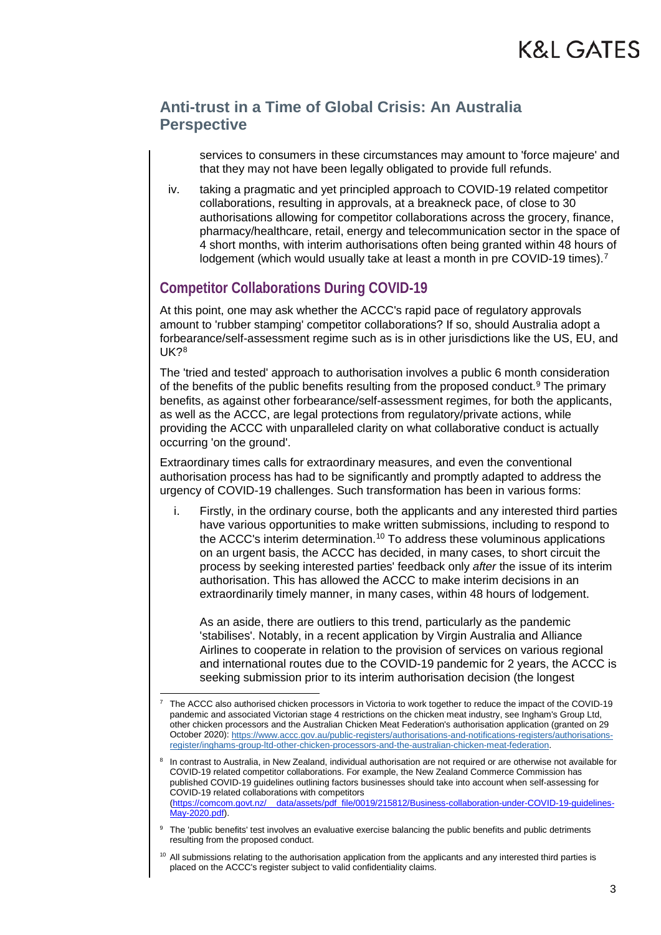services to consumers in these circumstances may amount to 'force majeure' and that they may not have been legally obligated to provide full refunds.

iv. taking a pragmatic and yet principled approach to COVID-19 related competitor collaborations, resulting in approvals, at a breakneck pace, of close to 30 authorisations allowing for competitor collaborations across the grocery, finance, pharmacy/healthcare, retail, energy and telecommunication sector in the space of 4 short months, with interim authorisations often being granted within 48 hours of lodgement (which would usually take at least a month in pre COVID-19 times).<sup>[7](#page-2-0)</sup>

#### **Competitor Collaborations During COVID-19**

-

At this point, one may ask whether the ACCC's rapid pace of regulatory approvals amount to 'rubber stamping' competitor collaborations? If so, should Australia adopt a forbearance/self-assessment regime such as is in other jurisdictions like the US, EU, and UK?[8](#page-2-1)

The 'tried and tested' approach to authorisation involves a public 6 month consideration of the benefits of the public benefits resulting from the proposed conduct.<sup>[9](#page-2-2)</sup> The primary benefits, as against other forbearance/self-assessment regimes, for both the applicants, as well as the ACCC, are legal protections from regulatory/private actions, while providing the ACCC with unparalleled clarity on what collaborative conduct is actually occurring 'on the ground'.

Extraordinary times calls for extraordinary measures, and even the conventional authorisation process has had to be significantly and promptly adapted to address the urgency of COVID-19 challenges. Such transformation has been in various forms:

i. Firstly, in the ordinary course, both the applicants and any interested third parties have various opportunities to make written submissions, including to respond to the ACCC's interim determination.[10](#page-2-3) To address these voluminous applications on an urgent basis, the ACCC has decided, in many cases, to short circuit the process by seeking interested parties' feedback only *after* the issue of its interim authorisation. This has allowed the ACCC to make interim decisions in an extraordinarily timely manner, in many cases, within 48 hours of lodgement.

As an aside, there are outliers to this trend, particularly as the pandemic 'stabilises'. Notably, in a recent application by Virgin Australia and Alliance Airlines to cooperate in relation to the provision of services on various regional and international routes due to the COVID-19 pandemic for 2 years, the ACCC is seeking submission prior to its interim authorisation decision (the longest

<span id="page-2-0"></span><sup>7</sup> The ACCC also authorised chicken processors in Victoria to work together to reduce the impact of the COVID-19 pandemic and associated Victorian stage 4 restrictions on the chicken meat industry, see Ingham's Group Ltd, other chicken processors and the Australian Chicken Meat Federation's authorisation application (granted on 29 October 2020)[: https://www.accc.gov.au/public-registers/authorisations-and-notifications-registers/authorisations](https://www.accc.gov.au/public-registers/authorisations-and-notifications-registers/authorisations-register/inghams-group-ltd-other-chicken-processors-and-the-australian-chicken-meat-federation)[register/inghams-group-ltd-other-chicken-processors-and-the-australian-chicken-meat-federation.](https://www.accc.gov.au/public-registers/authorisations-and-notifications-registers/authorisations-register/inghams-group-ltd-other-chicken-processors-and-the-australian-chicken-meat-federation) 

<span id="page-2-1"></span>In contrast to Australia, in New Zealand, individual authorisation are not required or are otherwise not available for COVID-19 related competitor collaborations. For example, the New Zealand Commerce Commission has published COVID-19 guidelines outlining factors businesses should take into account when self-assessing for COVID-19 related collaborations with competitors [\(https://comcom.govt.nz/\\_\\_data/assets/pdf\\_file/0019/215812/Business-collaboration-under-COVID-19-guidelines-](https://comcom.govt.nz/__data/assets/pdf_file/0019/215812/Business-collaboration-under-COVID-19-guidelines-May-2020.pdf)[May-2020.pdf\)](https://comcom.govt.nz/__data/assets/pdf_file/0019/215812/Business-collaboration-under-COVID-19-guidelines-May-2020.pdf).

<span id="page-2-2"></span><sup>&</sup>lt;sup>9</sup> The 'public benefits' test involves an evaluative exercise balancing the public benefits and public detriments resulting from the proposed conduct.

<span id="page-2-3"></span> $10$  All submissions relating to the authorisation application from the applicants and any interested third parties is placed on the ACCC's register subject to valid confidentiality claims.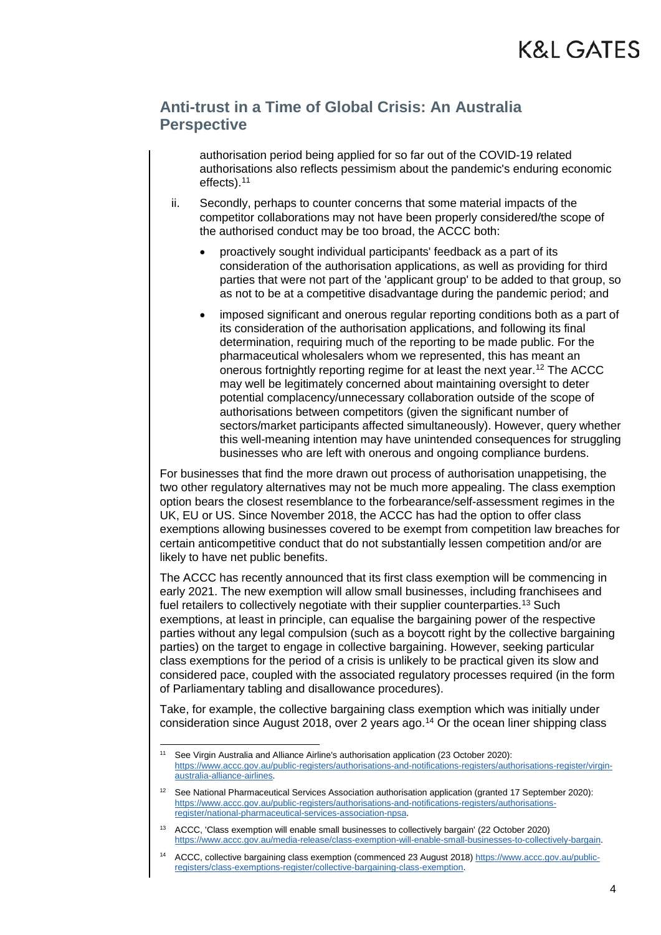authorisation period being applied for so far out of the COVID-19 related authorisations also reflects pessimism about the pandemic's enduring economic effects).[11](#page-3-0)

- ii. Secondly, perhaps to counter concerns that some material impacts of the competitor collaborations may not have been properly considered/the scope of the authorised conduct may be too broad, the ACCC both:
	- proactively sought individual participants' feedback as a part of its consideration of the authorisation applications, as well as providing for third parties that were not part of the 'applicant group' to be added to that group, so as not to be at a competitive disadvantage during the pandemic period; and
	- imposed significant and onerous regular reporting conditions both as a part of its consideration of the authorisation applications, and following its final determination, requiring much of the reporting to be made public. For the pharmaceutical wholesalers whom we represented, this has meant an onerous fortnightly reporting regime for at least the next year.[12](#page-3-1) The ACCC may well be legitimately concerned about maintaining oversight to deter potential complacency/unnecessary collaboration outside of the scope of authorisations between competitors (given the significant number of sectors/market participants affected simultaneously). However, query whether this well-meaning intention may have unintended consequences for struggling businesses who are left with onerous and ongoing compliance burdens.

For businesses that find the more drawn out process of authorisation unappetising, the two other regulatory alternatives may not be much more appealing. The class exemption option bears the closest resemblance to the forbearance/self-assessment regimes in the UK, EU or US. Since November 2018, the ACCC has had the option to offer class exemptions allowing businesses covered to be exempt from competition law breaches for certain anticompetitive conduct that do not substantially lessen competition and/or are likely to have net public benefits.

The ACCC has recently announced that its first class exemption will be commencing in early 2021. The new exemption will allow small businesses, including franchisees and fuel retailers to collectively negotiate with their supplier counterparties.<sup>[13](#page-3-2)</sup> Such exemptions, at least in principle, can equalise the bargaining power of the respective parties without any legal compulsion (such as a boycott right by the collective bargaining parties) on the target to engage in collective bargaining. However, seeking particular class exemptions for the period of a crisis is unlikely to be practical given its slow and considered pace, coupled with the associated regulatory processes required (in the form of Parliamentary tabling and disallowance procedures).

Take, for example, the collective bargaining class exemption which was initially under consideration since August 2018, over 2 years ago.[14](#page-3-3) Or the ocean liner shipping class

<span id="page-3-0"></span><sup>&</sup>lt;u>.</u> <sup>11</sup> See Virgin Australia and Alliance Airline's authorisation application (23 October 2020): [https://www.accc.gov.au/public-registers/authorisations-and-notifications-registers/authorisations-register/virgin](https://www.accc.gov.au/public-registers/authorisations-and-notifications-registers/authorisations-register/virgin-australia-alliance-airlines)[australia-alliance-airlines.](https://www.accc.gov.au/public-registers/authorisations-and-notifications-registers/authorisations-register/virgin-australia-alliance-airlines) 

<span id="page-3-1"></span><sup>12</sup> See National Pharmaceutical Services Association authorisation application (granted 17 September 2020): [https://www.accc.gov.au/public-registers/authorisations-and-notifications-registers/authorisations](https://www.accc.gov.au/public-registers/authorisations-and-notifications-registers/authorisations-register/national-pharmaceutical-services-association-npsa)[register/national-pharmaceutical-services-association-npsa.](https://www.accc.gov.au/public-registers/authorisations-and-notifications-registers/authorisations-register/national-pharmaceutical-services-association-npsa)

<span id="page-3-2"></span><sup>13</sup> ACCC, 'Class exemption will enable small businesses to collectively bargain' (22 October 2020) [https://www.accc.gov.au/media-release/class-exemption-will-enable-small-businesses-to-collectively-bargain.](https://www.accc.gov.au/media-release/class-exemption-will-enable-small-businesses-to-collectively-bargain)

<span id="page-3-3"></span><sup>14</sup> ACCC, collective bargaining class exemption (commenced 23 August 2018[\) https://www.accc.gov.au/public](https://www.accc.gov.au/public-registers/class-exemptions-register/collective-bargaining-class-exemption)[registers/class-exemptions-register/collective-bargaining-class-exemption.](https://www.accc.gov.au/public-registers/class-exemptions-register/collective-bargaining-class-exemption)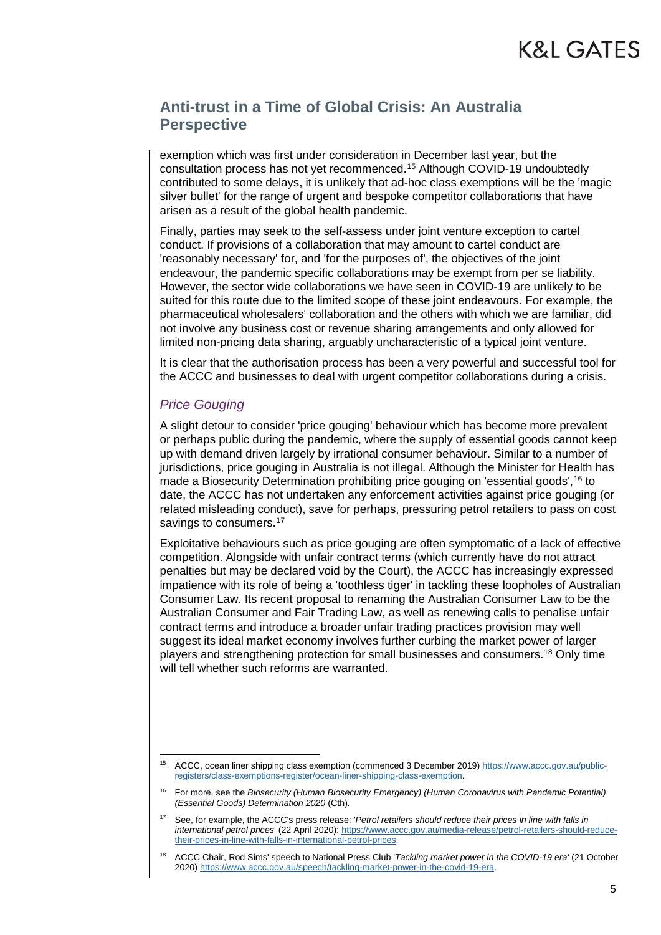exemption which was first under consideration in December last year, but the consultation process has not yet recommenced.[15](#page-4-0) Although COVID-19 undoubtedly contributed to some delays, it is unlikely that ad-hoc class exemptions will be the 'magic silver bullet' for the range of urgent and bespoke competitor collaborations that have arisen as a result of the global health pandemic.

Finally, parties may seek to the self-assess under joint venture exception to cartel conduct. If provisions of a collaboration that may amount to cartel conduct are 'reasonably necessary' for, and 'for the purposes of', the objectives of the joint endeavour, the pandemic specific collaborations may be exempt from per se liability. However, the sector wide collaborations we have seen in COVID-19 are unlikely to be suited for this route due to the limited scope of these joint endeavours. For example, the pharmaceutical wholesalers' collaboration and the others with which we are familiar, did not involve any business cost or revenue sharing arrangements and only allowed for limited non-pricing data sharing, arguably uncharacteristic of a typical joint venture.

It is clear that the authorisation process has been a very powerful and successful tool for the ACCC and businesses to deal with urgent competitor collaborations during a crisis.

#### *Price Gouging*

A slight detour to consider 'price gouging' behaviour which has become more prevalent or perhaps public during the pandemic, where the supply of essential goods cannot keep up with demand driven largely by irrational consumer behaviour. Similar to a number of jurisdictions, price gouging in Australia is not illegal. Although the Minister for Health has made a Biosecurity Determination prohibiting price gouging on 'essential goods',[16](#page-4-1) to date, the ACCC has not undertaken any enforcement activities against price gouging (or related misleading conduct), save for perhaps, pressuring petrol retailers to pass on cost savings to consumers.<sup>[17](#page-4-2)</sup>

Exploitative behaviours such as price gouging are often symptomatic of a lack of effective competition. Alongside with unfair contract terms (which currently have do not attract penalties but may be declared void by the Court), the ACCC has increasingly expressed impatience with its role of being a 'toothless tiger' in tackling these loopholes of Australian Consumer Law. Its recent proposal to renaming the Australian Consumer Law to be the Australian Consumer and Fair Trading Law, as well as renewing calls to penalise unfair contract terms and introduce a broader unfair trading practices provision may well suggest its ideal market economy involves further curbing the market power of larger players and strengthening protection for small businesses and consumers.[18](#page-4-3) Only time will tell whether such reforms are warranted.

<span id="page-4-0"></span><sup>-</sup><sup>15</sup> ACCC, ocean liner shipping class exemption (commenced 3 December 2019[\) https://www.accc.gov.au/public](https://www.accc.gov.au/public-registers/class-exemptions-register/ocean-liner-shipping-class-exemption)[registers/class-exemptions-register/ocean-liner-shipping-class-exemption.](https://www.accc.gov.au/public-registers/class-exemptions-register/ocean-liner-shipping-class-exemption) 

<span id="page-4-1"></span><sup>16</sup> For more, see the *Biosecurity (Human Biosecurity Emergency) (Human Coronavirus with Pandemic Potential) (Essential Goods) Determination 2020* (Cth)*.* 

<span id="page-4-2"></span><sup>17</sup> See, for example, the ACCC's press release: '*Petrol retailers should reduce their prices in line with falls in international petrol prices*' (22 April 2020)[: https://www.accc.gov.au/media-release/petrol-retailers-should-reduce](https://www.accc.gov.au/media-release/petrol-retailers-should-reduce-their-prices-in-line-with-falls-in-international-petrol-prices)[their-prices-in-line-with-falls-in-international-petrol-prices.](https://www.accc.gov.au/media-release/petrol-retailers-should-reduce-their-prices-in-line-with-falls-in-international-petrol-prices)

<span id="page-4-3"></span><sup>18</sup> ACCC Chair, Rod Sims' speech to National Press Club '*Tackling market power in the COVID-19 era'* (21 October 2020) [https://www.accc.gov.au/speech/tackling-market-power-in-the-covid-19-era.](https://www.accc.gov.au/speech/tackling-market-power-in-the-covid-19-era)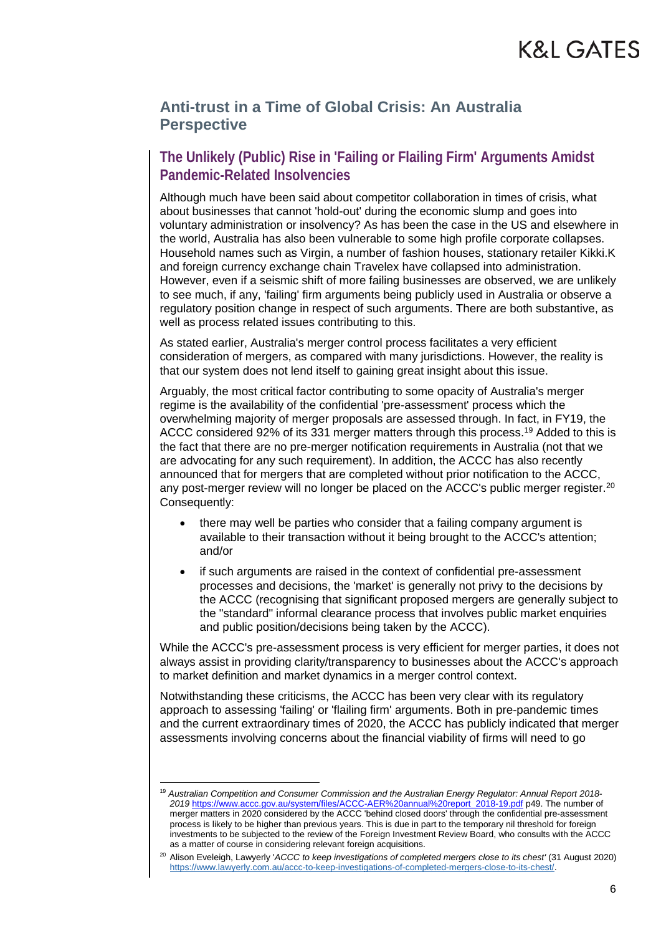#### **The Unlikely (Public) Rise in 'Failing or Flailing Firm' Arguments Amidst Pandemic-Related Insolvencies**

Although much have been said about competitor collaboration in times of crisis, what about businesses that cannot 'hold-out' during the economic slump and goes into voluntary administration or insolvency? As has been the case in the US and elsewhere in the world, Australia has also been vulnerable to some high profile corporate collapses. Household names such as Virgin, a number of fashion houses, stationary retailer Kikki.K and foreign currency exchange chain Travelex have collapsed into administration. However, even if a seismic shift of more failing businesses are observed, we are unlikely to see much, if any, 'failing' firm arguments being publicly used in Australia or observe a regulatory position change in respect of such arguments. There are both substantive, as well as process related issues contributing to this.

As stated earlier, Australia's merger control process facilitates a very efficient consideration of mergers, as compared with many jurisdictions. However, the reality is that our system does not lend itself to gaining great insight about this issue.

Arguably, the most critical factor contributing to some opacity of Australia's merger regime is the availability of the confidential 'pre-assessment' process which the overwhelming majority of merger proposals are assessed through. In fact, in FY19, the ACCC considered 92% of its 331 merger matters through this process[.19](#page-5-0) Added to this is the fact that there are no pre-merger notification requirements in Australia (not that we are advocating for any such requirement). In addition, the ACCC has also recently announced that for mergers that are completed without prior notification to the ACCC, any post-merger review will no longer be placed on the ACCC's public merger register.<sup>20</sup> Consequently:

- there may well be parties who consider that a failing company argument is available to their transaction without it being brought to the ACCC's attention; and/or
- if such arguments are raised in the context of confidential pre-assessment processes and decisions, the 'market' is generally not privy to the decisions by the ACCC (recognising that significant proposed mergers are generally subject to the "standard" informal clearance process that involves public market enquiries and public position/decisions being taken by the ACCC).

While the ACCC's pre-assessment process is very efficient for merger parties, it does not always assist in providing clarity/transparency to businesses about the ACCC's approach to market definition and market dynamics in a merger control context.

Notwithstanding these criticisms, the ACCC has been very clear with its regulatory approach to assessing 'failing' or 'flailing firm' arguments. Both in pre-pandemic times and the current extraordinary times of 2020, the ACCC has publicly indicated that merger assessments involving concerns about the financial viability of firms will need to go

<u>.</u>

<span id="page-5-0"></span><sup>19</sup> *Australian Competition and Consumer Commission and the Australian Energy Regulator: Annual Report 2018- 2019* [https://www.accc.gov.au/system/files/ACCC-AER%20annual%20report\\_2018-19.pdf](https://www.accc.gov.au/system/files/ACCC-AER%20annual%20report_2018-19.pdf) p49. The number of merger matters in 2020 considered by the ACCC 'behind closed doors' through the confidential pre-assessment process is likely to be higher than previous years. This is due in part to the temporary nil threshold for foreign investments to be subjected to the review of the Foreign Investment Review Board, who consults with the ACCC as a matter of course in considering relevant foreign acquisitions.

<span id="page-5-1"></span><sup>20</sup> Alison Eveleigh, Lawyerly '*ACCC to keep investigations of completed mergers close to its chest'* (31 August 2020) [https://www.lawyerly.com.au/accc-to-keep-investigations-of-completed-mergers-close-to-its-chest/.](https://www.lawyerly.com.au/accc-to-keep-investigations-of-completed-mergers-close-to-its-chest/)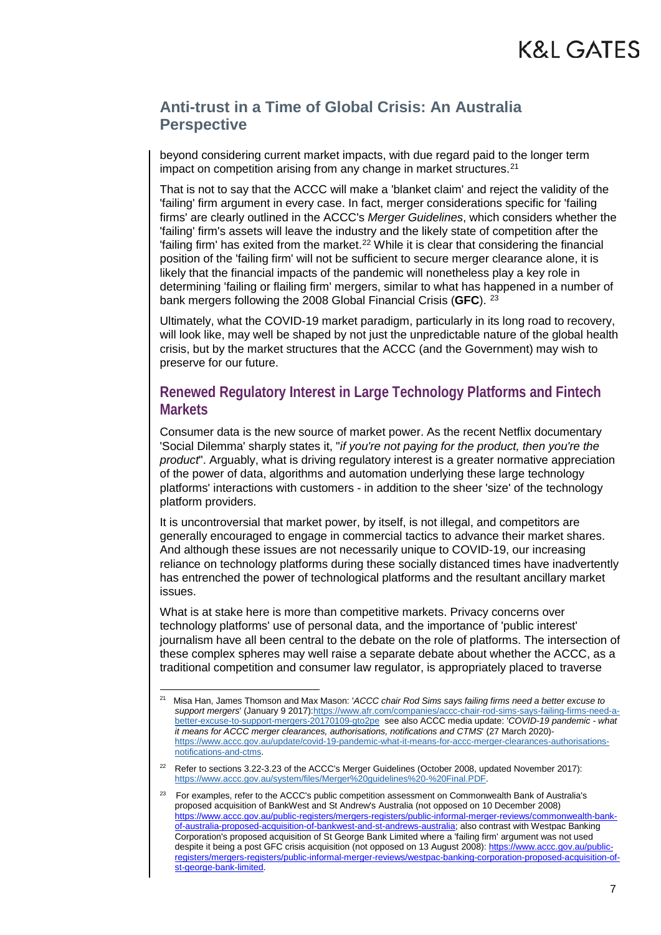beyond considering current market impacts, with due regard paid to the longer term impact on competition arising from any change in market structures.<sup>[21](#page-6-0)</sup>

That is not to say that the ACCC will make a 'blanket claim' and reject the validity of the 'failing' firm argument in every case. In fact, merger considerations specific for 'failing firms' are clearly outlined in the ACCC's *Merger Guidelines*, which considers whether the 'failing' firm's assets will leave the industry and the likely state of competition after the 'failing firm' has exited from the market.<sup>[22](#page-6-1)</sup> While it is clear that considering the financial position of the 'failing firm' will not be sufficient to secure merger clearance alone, it is likely that the financial impacts of the pandemic will nonetheless play a key role in determining 'failing or flailing firm' mergers, similar to what has happened in a number of bank mergers following the 2008 Global Financial Crisis (**GFC**). [23](#page-6-2)

Ultimately, what the COVID-19 market paradigm, particularly in its long road to recovery, will look like, may well be shaped by not just the unpredictable nature of the global health crisis, but by the market structures that the ACCC (and the Government) may wish to preserve for our future.

#### **Renewed Regulatory Interest in Large Technology Platforms and Fintech Markets**

Consumer data is the new source of market power. As the recent Netflix documentary 'Social Dilemma' sharply states it, "*if you're not paying for the product, then you're the product*". Arguably, what is driving regulatory interest is a greater normative appreciation of the power of data, algorithms and automation underlying these large technology platforms' interactions with customers - in addition to the sheer 'size' of the technology platform providers.

It is uncontroversial that market power, by itself, is not illegal, and competitors are generally encouraged to engage in commercial tactics to advance their market shares. And although these issues are not necessarily unique to COVID-19, our increasing reliance on technology platforms during these socially distanced times have inadvertently has entrenched the power of technological platforms and the resultant ancillary market issues.

What is at stake here is more than competitive markets. Privacy concerns over technology platforms' use of personal data, and the importance of 'public interest' journalism have all been central to the debate on the role of platforms. The intersection of these complex spheres may well raise a separate debate about whether the ACCC, as a traditional competition and consumer law regulator, is appropriately placed to traverse

<span id="page-6-0"></span> $21$ 21 Misa Han, James Thomson and Max Mason: '*ACCC chair Rod Sims says failing firms need a better excuse to support mergers*' (January 9 2017[\):https://www.afr.com/companies/accc-chair-rod-sims-says-failing-firms-need-a](https://www.afr.com/companies/accc-chair-rod-sims-says-failing-firms-need-a-better-excuse-to-support-mergers-20170109-gto2pe)[better-excuse-to-support-mergers-20170109-gto2pe](https://www.afr.com/companies/accc-chair-rod-sims-says-failing-firms-need-a-better-excuse-to-support-mergers-20170109-gto2pe) see also ACCC media update: '*COVID-19 pandemic - what it means for ACCC merger clearances, authorisations, notifications and CTMS*' (27 March 2020) [https://www.accc.gov.au/update/covid-19-pandemic-what-it-means-for-accc-merger-clearances-authorisations](https://www.accc.gov.au/update/covid-19-pandemic-what-it-means-for-accc-merger-clearances-authorisations-notifications-and-ctms)[notifications-and-ctms.](https://www.accc.gov.au/update/covid-19-pandemic-what-it-means-for-accc-merger-clearances-authorisations-notifications-and-ctms)

<span id="page-6-1"></span><sup>22</sup> Refer to sections 3.22-3.23 of the ACCC's Merger Guidelines (October 2008, updated November 2017): [https://www.accc.gov.au/system/files/Merger%20guidelines%20-%20Final.PDF.](https://www.accc.gov.au/system/files/Merger%20guidelines%20-%20Final.PDF) 

<span id="page-6-2"></span><sup>23</sup> For examples, refer to the ACCC's public competition assessment on Commonwealth Bank of Australia's proposed acquisition of BankWest and St Andrew's Australia (not opposed on 10 December 2008) [https://www.accc.gov.au/public-registers/mergers-registers/public-informal-merger-reviews/commonwealth-bank](https://www.accc.gov.au/public-registers/mergers-registers/public-informal-merger-reviews/commonwealth-bank-of-australia-proposed-acquisition-of-bankwest-and-st-andrews-australia)[of-australia-proposed-acquisition-of-bankwest-and-st-andrews-australia;](https://www.accc.gov.au/public-registers/mergers-registers/public-informal-merger-reviews/commonwealth-bank-of-australia-proposed-acquisition-of-bankwest-and-st-andrews-australia) also contrast with Westpac Banking Corporation's proposed acquisition of St George Bank Limited where a 'failing firm' argument was not used despite it being a post GFC crisis acquisition (not opposed on 13 August 2008)[: https://www.accc.gov.au/public](https://www.accc.gov.au/public-registers/mergers-registers/public-informal-merger-reviews/westpac-banking-corporation-proposed-acquisition-of-st-george-bank-limited)[registers/mergers-registers/public-informal-merger-reviews/westpac-banking-corporation-proposed-acquisition-of](https://www.accc.gov.au/public-registers/mergers-registers/public-informal-merger-reviews/westpac-banking-corporation-proposed-acquisition-of-st-george-bank-limited)[st-george-bank-limited.](https://www.accc.gov.au/public-registers/mergers-registers/public-informal-merger-reviews/westpac-banking-corporation-proposed-acquisition-of-st-george-bank-limited)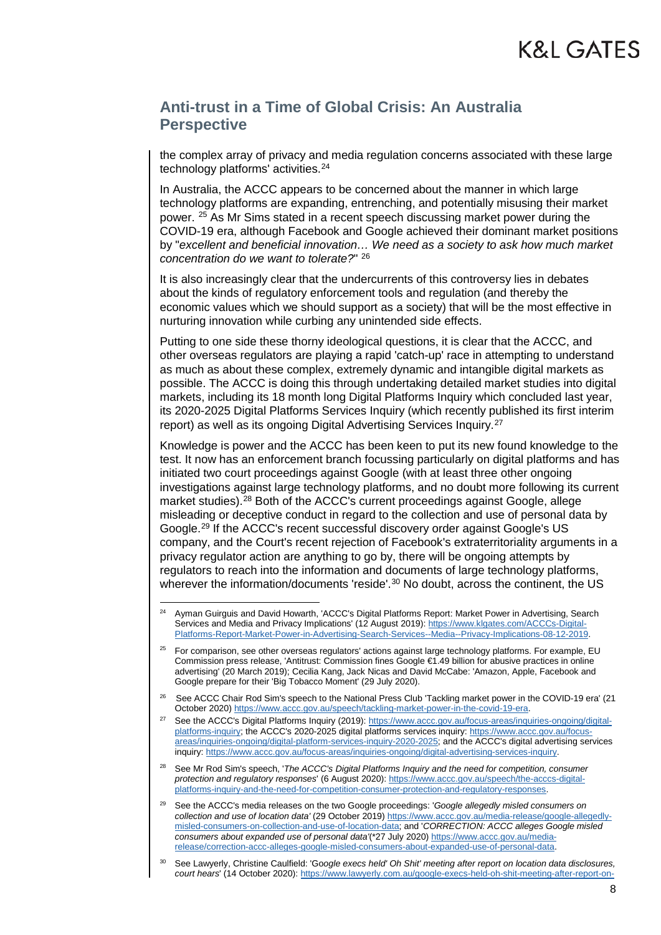the complex array of privacy and media regulation concerns associated with these large technology platforms' activities.<sup>[24](#page-7-0)</sup>

In Australia, the ACCC appears to be concerned about the manner in which large technology platforms are expanding, entrenching, and potentially misusing their market power. [25](#page-7-1) As Mr Sims stated in a recent speech discussing market power during the COVID-19 era, although Facebook and Google achieved their dominant market positions by "*excellent and beneficial innovation… We need as a society to ask how much market concentration do we want to tolerate?*" [26](#page-7-2)

It is also increasingly clear that the undercurrents of this controversy lies in debates about the kinds of regulatory enforcement tools and regulation (and thereby the economic values which we should support as a society) that will be the most effective in nurturing innovation while curbing any unintended side effects.

Putting to one side these thorny ideological questions, it is clear that the ACCC, and other overseas regulators are playing a rapid 'catch-up' race in attempting to understand as much as about these complex, extremely dynamic and intangible digital markets as possible. The ACCC is doing this through undertaking detailed market studies into digital markets, including its 18 month long Digital Platforms Inquiry which concluded last year, its 2020-2025 Digital Platforms Services Inquiry (which recently published its first interim report) as well as its ongoing Digital Advertising Services Inquiry.[27](#page-7-3)

Knowledge is power and the ACCC has been keen to put its new found knowledge to the test. It now has an enforcement branch focussing particularly on digital platforms and has initiated two court proceedings against Google (with at least three other ongoing investigations against large technology platforms, and no doubt more following its current market studies).[28](#page-7-4) Both of the ACCC's current proceedings against Google, allege misleading or deceptive conduct in regard to the collection and use of personal data by Google.[29](#page-7-5) If the ACCC's recent successful discovery order against Google's US company, and the Court's recent rejection of Facebook's extraterritoriality arguments in a privacy regulator action are anything to go by, there will be ongoing attempts by regulators to reach into the information and documents of large technology platforms, wherever the information/documents 'reside'.<sup>[30](#page-7-6)</sup> No doubt, across the continent, the US

<span id="page-7-0"></span> $24$ <sup>24</sup> Ayman Guirguis and David Howarth, 'ACCC's Digital Platforms Report: Market Power in Advertising, Search Services and Media and Privacy Implications' (12 August 2019): [https://www.klgates.com/ACCCs-Digital-](https://www.klgates.com/ACCCs-Digital-Platforms-Report-Market-Power-in-Advertising-Search-Services--Media--Privacy-Implications-08-12-2019)[Platforms-Report-Market-Power-in-Advertising-Search-Services--Media--Privacy-Implications-08-12-2019.](https://www.klgates.com/ACCCs-Digital-Platforms-Report-Market-Power-in-Advertising-Search-Services--Media--Privacy-Implications-08-12-2019)

<span id="page-7-1"></span><sup>&</sup>lt;sup>25</sup> For comparison, see other overseas regulators' actions against large technology platforms. For example, EU Commission press release, 'Antitrust: Commission fines Google €1.49 billion for abusive practices in online advertising' (20 March 2019); Cecilia Kang, Jack Nicas and David McCabe: 'Amazon, Apple, Facebook and Google prepare for their 'Big Tobacco Moment' (29 July 2020).

<span id="page-7-2"></span><sup>&</sup>lt;sup>26</sup> See ACCC Chair Rod Sim's speech to the National Press Club 'Tackling market power in the COVID-19 era' (21 October 2020) [https://www.accc.gov.au/speech/tackling-market-power-in-the-covid-19-era.](https://www.accc.gov.au/speech/tackling-market-power-in-the-covid-19-era)

<span id="page-7-3"></span><sup>&</sup>lt;sup>27</sup> See the ACCC's Digital Platforms Inquiry (2019): [https://www.accc.gov.au/focus-areas/inquiries-ongoing/digital](https://www.accc.gov.au/focus-areas/inquiries-ongoing/digital-platforms-inquiry)[platforms-inquiry;](https://www.accc.gov.au/focus-areas/inquiries-ongoing/digital-platforms-inquiry) the ACCC's 2020-2025 digital platforms services inquiry: [https://www.accc.gov.au/focus](https://www.accc.gov.au/focus-areas/inquiries-ongoing/digital-platform-services-inquiry-2020-2025)[areas/inquiries-ongoing/digital-platform-services-inquiry-2020-2025;](https://www.accc.gov.au/focus-areas/inquiries-ongoing/digital-platform-services-inquiry-2020-2025) and the ACCC's digital advertising services inquiry[: https://www.accc.gov.au/focus-areas/inquiries-ongoing/digital-advertising-services-inquiry.](https://www.accc.gov.au/focus-areas/inquiries-ongoing/digital-advertising-services-inquiry)

<span id="page-7-4"></span><sup>28</sup> See Mr Rod Sim's speech, '*The ACCC's Digital Platforms Inquiry and the need for competition, consumer protection and regulatory responses*' (6 August 2020)[: https://www.accc.gov.au/speech/the-acccs-digital](https://www.accc.gov.au/speech/the-acccs-digital-platforms-inquiry-and-the-need-for-competition-consumer-protection-and-regulatory-responses)[platforms-inquiry-and-the-need-for-competition-consumer-protection-and-regulatory-responses.](https://www.accc.gov.au/speech/the-acccs-digital-platforms-inquiry-and-the-need-for-competition-consumer-protection-and-regulatory-responses)

<span id="page-7-5"></span><sup>29</sup> See the ACCC's media releases on the two Google proceedings: '*Google allegedly misled consumers on collection and use of location data'* (29 October 2019) [https://www.accc.gov.au/media-release/google-allegedly](https://www.accc.gov.au/media-release/google-allegedly-misled-consumers-on-collection-and-use-of-location-data)[misled-consumers-on-collection-and-use-of-location-data;](https://www.accc.gov.au/media-release/google-allegedly-misled-consumers-on-collection-and-use-of-location-data) and '*CORRECTION: ACCC alleges Google misled consumers about expanded use of personal data'*(\*27 July 2020[\) https://www.accc.gov.au/media](https://www.accc.gov.au/media-release/correction-accc-alleges-google-misled-consumers-about-expanded-use-of-personal-data)[release/correction-accc-alleges-google-misled-consumers-about-expanded-use-of-personal-data.](https://www.accc.gov.au/media-release/correction-accc-alleges-google-misled-consumers-about-expanded-use-of-personal-data) 

<span id="page-7-6"></span><sup>30</sup> See Lawyerly, Christine Caulfield: 'Go*ogle execs held' Oh Shit' meeting after report on location data disclosures, court hears*' (14 October 2020)[: https://www.lawyerly.com.au/google-execs-held-oh-shit-meeting-after-report-on-](https://www.lawyerly.com.au/google-execs-held-oh-shit-meeting-after-report-on-location-data-disclosures-court-hears/)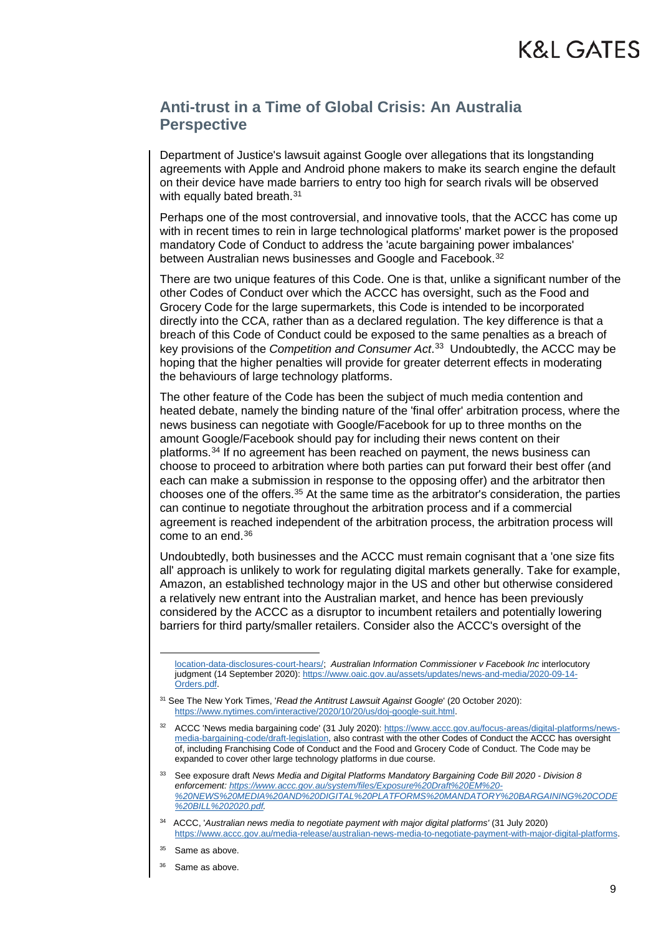Department of Justice's lawsuit against Google over allegations that its longstanding agreements with Apple and Android phone makers to make its search engine the default on their device have made barriers to entry too high for search rivals will be observed with equally bated breath.<sup>[31](#page-8-0)</sup>

Perhaps one of the most controversial, and innovative tools, that the ACCC has come up with in recent times to rein in large technological platforms' market power is the proposed mandatory Code of Conduct to address the 'acute bargaining power imbalances' between Australian news businesses and Google and Facebook.<sup>32</sup>

There are two unique features of this Code. One is that, unlike a significant number of the other Codes of Conduct over which the ACCC has oversight, such as the Food and Grocery Code for the large supermarkets, this Code is intended to be incorporated directly into the CCA, rather than as a declared regulation. The key difference is that a breach of this Code of Conduct could be exposed to the same penalties as a breach of key provisions of the *Competition and Consumer Act*. [33](#page-8-2) Undoubtedly, the ACCC may be hoping that the higher penalties will provide for greater deterrent effects in moderating the behaviours of large technology platforms.

The other feature of the Code has been the subject of much media contention and heated debate, namely the binding nature of the 'final offer' arbitration process, where the news business can negotiate with Google/Facebook for up to three months on the amount Google/Facebook should pay for including their news content on their platforms.[34](#page-8-3) If no agreement has been reached on payment, the news business can choose to proceed to arbitration where both parties can put forward their best offer (and each can make a submission in response to the opposing offer) and the arbitrator then chooses one of the offers[.35](#page-8-4) At the same time as the arbitrator's consideration, the parties can continue to negotiate throughout the arbitration process and if a commercial agreement is reached independent of the arbitration process, the arbitration process will come to an end.[36](#page-8-5)

Undoubtedly, both businesses and the ACCC must remain cognisant that a 'one size fits all' approach is unlikely to work for regulating digital markets generally. Take for example, Amazon, an established technology major in the US and other but otherwise considered a relatively new entrant into the Australian market, and hence has been previously considered by the ACCC as a disruptor to incumbent retailers and potentially lowering barriers for third party/smaller retailers. Consider also the ACCC's oversight of the

-

[location-data-disclosures-court-hears/;](https://www.lawyerly.com.au/google-execs-held-oh-shit-meeting-after-report-on-location-data-disclosures-court-hears/) *Australian Information Commissioner v Facebook Inc* interlocutory judgment (14 September 2020)[: https://www.oaic.gov.au/assets/updates/news-and-media/2020-09-14-](https://www.oaic.gov.au/assets/updates/news-and-media/2020-09-14-Orders.pdf) [Orders.pdf.](https://www.oaic.gov.au/assets/updates/news-and-media/2020-09-14-Orders.pdf) 

<span id="page-8-0"></span><sup>31</sup> See The New York Times, '*Read the Antitrust Lawsuit Against Google*' (20 October 2020): [https://www.nytimes.com/interactive/2020/10/20/us/doj-google-suit.html.](https://www.nytimes.com/interactive/2020/10/20/us/doj-google-suit.html) 

<span id="page-8-1"></span><sup>&</sup>lt;sup>32</sup> ACCC 'News media bargaining code' (31 July 2020): [https://www.accc.gov.au/focus-areas/digital-platforms/news](https://www.accc.gov.au/focus-areas/digital-platforms/news-media-bargaining-code/draft-legislation)[media-bargaining-code/draft-legislation,](https://www.accc.gov.au/focus-areas/digital-platforms/news-media-bargaining-code/draft-legislation) also contrast with the other Codes of Conduct the ACCC has oversight of, including Franchising Code of Conduct and the Food and Grocery Code of Conduct. The Code may be expanded to cover other large technology platforms in due course.

<span id="page-8-2"></span><sup>33</sup> See exposure draft *News Media and Digital Platforms Mandatory Bargaining Code Bill 2020 - Division 8 enforcement[: https://www.accc.gov.au/system/files/Exposure%20Draft%20EM%20-](https://www.accc.gov.au/system/files/Exposure%20Draft%20EM%20-%20NEWS%20MEDIA%20AND%20DIGITAL%20PLATFORMS%20MANDATORY%20BARGAINING%20CODE%20BILL%202020.pdf) [%20NEWS%20MEDIA%20AND%20DIGITAL%20PLATFORMS%20MANDATORY%20BARGAINING%20CODE](https://www.accc.gov.au/system/files/Exposure%20Draft%20EM%20-%20NEWS%20MEDIA%20AND%20DIGITAL%20PLATFORMS%20MANDATORY%20BARGAINING%20CODE%20BILL%202020.pdf) [%20BILL%202020.pdf.](https://www.accc.gov.au/system/files/Exposure%20Draft%20EM%20-%20NEWS%20MEDIA%20AND%20DIGITAL%20PLATFORMS%20MANDATORY%20BARGAINING%20CODE%20BILL%202020.pdf)* 

<sup>34</sup> ACCC, '*Australian news media to negotiate payment with major digital platforms'* (31 July 2020) [https://www.accc.gov.au/media-release/australian-news-media-to-negotiate-payment-with-major-digital-platforms.](https://www.accc.gov.au/media-release/australian-news-media-to-negotiate-payment-with-major-digital-platforms) 

<span id="page-8-4"></span><span id="page-8-3"></span><sup>&</sup>lt;sup>35</sup> Same as above.

<span id="page-8-5"></span>Same as above.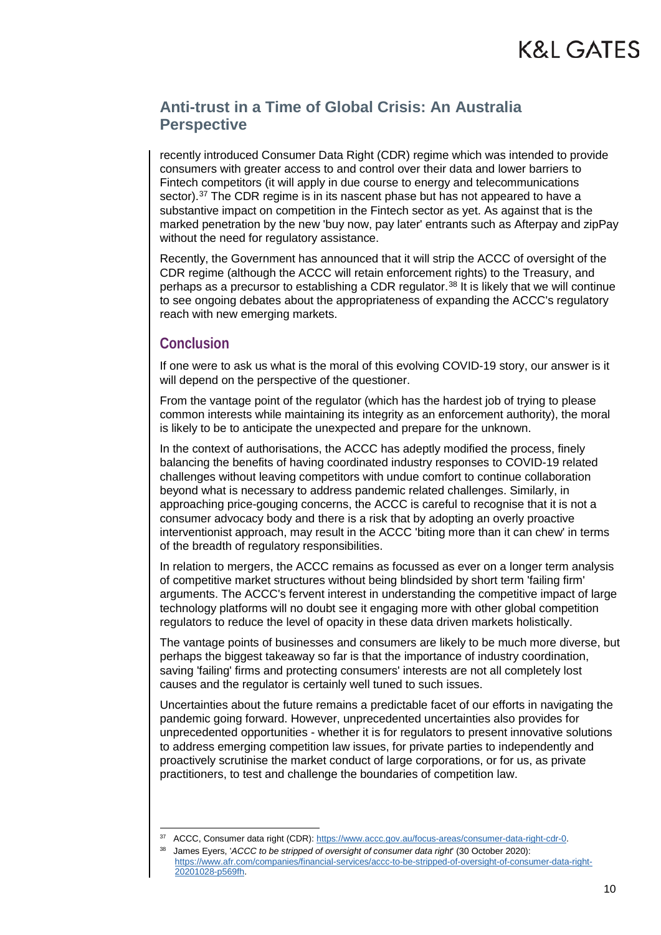recently introduced Consumer Data Right (CDR) regime which was intended to provide consumers with greater access to and control over their data and lower barriers to Fintech competitors (it will apply in due course to energy and telecommunications sector).<sup>[37](#page-9-0)</sup> The CDR regime is in its nascent phase but has not appeared to have a substantive impact on competition in the Fintech sector as yet. As against that is the marked penetration by the new 'buy now, pay later' entrants such as Afterpay and zipPay without the need for regulatory assistance.

Recently, the Government has announced that it will strip the ACCC of oversight of the CDR regime (although the ACCC will retain enforcement rights) to the Treasury, and perhaps as a precursor to establishing a CDR regulator.<sup>[38](#page-9-1)</sup> It is likely that we will continue to see ongoing debates about the appropriateness of expanding the ACCC's regulatory reach with new emerging markets.

#### **Conclusion**

If one were to ask us what is the moral of this evolving COVID-19 story, our answer is it will depend on the perspective of the questioner.

From the vantage point of the regulator (which has the hardest job of trying to please common interests while maintaining its integrity as an enforcement authority), the moral is likely to be to anticipate the unexpected and prepare for the unknown.

In the context of authorisations, the ACCC has adeptly modified the process, finely balancing the benefits of having coordinated industry responses to COVID-19 related challenges without leaving competitors with undue comfort to continue collaboration beyond what is necessary to address pandemic related challenges. Similarly, in approaching price-gouging concerns, the ACCC is careful to recognise that it is not a consumer advocacy body and there is a risk that by adopting an overly proactive interventionist approach, may result in the ACCC 'biting more than it can chew' in terms of the breadth of regulatory responsibilities.

In relation to mergers, the ACCC remains as focussed as ever on a longer term analysis of competitive market structures without being blindsided by short term 'failing firm' arguments. The ACCC's fervent interest in understanding the competitive impact of large technology platforms will no doubt see it engaging more with other global competition regulators to reduce the level of opacity in these data driven markets holistically.

The vantage points of businesses and consumers are likely to be much more diverse, but perhaps the biggest takeaway so far is that the importance of industry coordination, saving 'failing' firms and protecting consumers' interests are not all completely lost causes and the regulator is certainly well tuned to such issues.

Uncertainties about the future remains a predictable facet of our efforts in navigating the pandemic going forward. However, unprecedented uncertainties also provides for unprecedented opportunities - whether it is for regulators to present innovative solutions to address emerging competition law issues, for private parties to independently and proactively scrutinise the market conduct of large corporations, or for us, as private practitioners, to test and challenge the boundaries of competition law.

<sup>37</sup> ACCC, Consumer data right (CDR): [https://www.accc.gov.au/focus-areas/consumer-data-right-cdr-0.](https://www.accc.gov.au/focus-areas/consumer-data-right-cdr-0)

<span id="page-9-1"></span><span id="page-9-0"></span><sup>&</sup>lt;sup>38</sup> James Eyers, '*ACCC to be stripped of oversight of consumer data right*' (30 October 2020): [https://www.afr.com/companies/financial-services/accc-to-be-stripped-of-oversight-of-consumer-data-right-](https://www.afr.com/companies/financial-services/accc-to-be-stripped-of-oversight-of-consumer-data-right-20201028-p569fh)[20201028-p569fh.](https://www.afr.com/companies/financial-services/accc-to-be-stripped-of-oversight-of-consumer-data-right-20201028-p569fh)